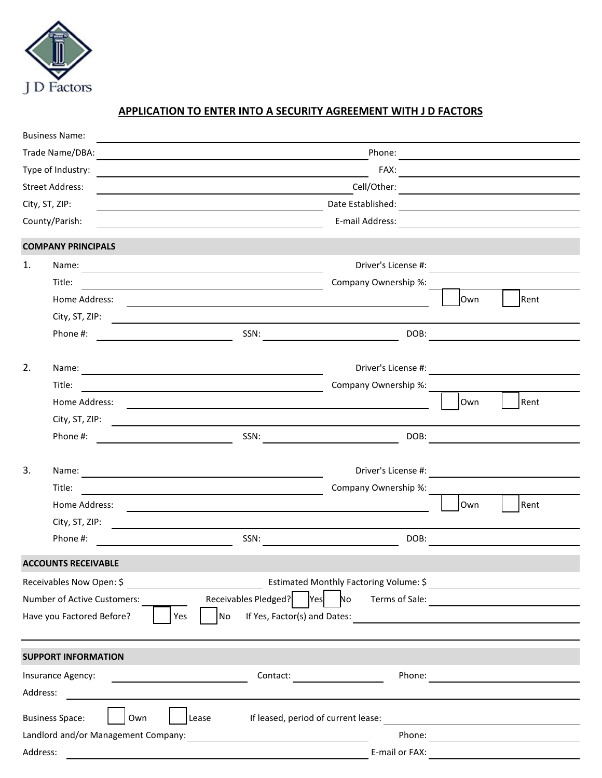

## **APPLICATION TO ENTER INTO A SECURITY AGREEMENT WITH J D FACTORS**

|                                                                                                                       | <b>Business Name:</b>                                            |                                                                                                                                                                                                                                |                              |     |                                                                                                                                                                                                                                      |
|-----------------------------------------------------------------------------------------------------------------------|------------------------------------------------------------------|--------------------------------------------------------------------------------------------------------------------------------------------------------------------------------------------------------------------------------|------------------------------|-----|--------------------------------------------------------------------------------------------------------------------------------------------------------------------------------------------------------------------------------------|
| Trade Name/DBA:                                                                                                       |                                                                  |                                                                                                                                                                                                                                |                              |     |                                                                                                                                                                                                                                      |
| Type of Industry:<br><b>Street Address:</b>                                                                           |                                                                  |                                                                                                                                                                                                                                |                              |     | FAX: <b>All and Contract Contract Contract Contract Contract Contract Contract Contract Contract Contract Contract Contract Contract Contract Contract Contract Contract Contract Contract Contract Contract Contract Contract C</b> |
|                                                                                                                       |                                                                  |                                                                                                                                                                                                                                |                              |     |                                                                                                                                                                                                                                      |
| City, ST, ZIP:                                                                                                        |                                                                  | <u> 1989 - Johann Barn, mars an t-Amerikaansk kommunist (</u>                                                                                                                                                                  |                              |     |                                                                                                                                                                                                                                      |
| County/Parish:                                                                                                        |                                                                  |                                                                                                                                                                                                                                |                              |     |                                                                                                                                                                                                                                      |
|                                                                                                                       | <b>COMPANY PRINCIPALS</b>                                        |                                                                                                                                                                                                                                |                              |     |                                                                                                                                                                                                                                      |
| 1.                                                                                                                    | Name:                                                            | Driver's License #:                                                                                                                                                                                                            |                              |     |                                                                                                                                                                                                                                      |
|                                                                                                                       | Title:                                                           | <u> Alexandria de la contrada de la contrada de la contrada de la contrada de la contrada de la contrada de la c</u>                                                                                                           | Company Ownership %:         |     |                                                                                                                                                                                                                                      |
|                                                                                                                       | Home Address:                                                    |                                                                                                                                                                                                                                |                              | Own | Rent                                                                                                                                                                                                                                 |
|                                                                                                                       | City, ST, ZIP:                                                   | <u> 1980 - Johann Stoff, deutscher Stoff, der Stoff, deutscher Stoff, der Stoff, der Stoff, der Stoff, der Stoff</u>                                                                                                           |                              |     |                                                                                                                                                                                                                                      |
|                                                                                                                       | Phone #:                                                         | SSN: $\qquad \qquad \qquad$                                                                                                                                                                                                    | DOB:                         |     |                                                                                                                                                                                                                                      |
| 2.                                                                                                                    |                                                                  |                                                                                                                                                                                                                                | Driver's License #:          |     |                                                                                                                                                                                                                                      |
|                                                                                                                       | Title:                                                           | Name: Name and the second state of the second state of the second state of the second state of the second state of the second state of the second state of the second state of the second state of the second state of the sec | Company Ownership %:         |     |                                                                                                                                                                                                                                      |
|                                                                                                                       | Home Address:                                                    | <u> 1980 - Johann Barnett, fransk politik (d. 1980)</u>                                                                                                                                                                        |                              | Own | Rent                                                                                                                                                                                                                                 |
|                                                                                                                       |                                                                  | City, ST, ZIP: $\qquad \qquad \qquad$                                                                                                                                                                                          |                              |     |                                                                                                                                                                                                                                      |
|                                                                                                                       | Phone #:<br><u> 1980 - Johann Barnett, fransk politik (</u>      | $SSN:$                                                                                                                                                                                                                         | DOB:                         |     |                                                                                                                                                                                                                                      |
|                                                                                                                       |                                                                  |                                                                                                                                                                                                                                |                              |     |                                                                                                                                                                                                                                      |
| 3.                                                                                                                    |                                                                  |                                                                                                                                                                                                                                |                              |     |                                                                                                                                                                                                                                      |
|                                                                                                                       | Title:                                                           | <u> 1989 - Johann Barnett, fransk politiker (d. 1989)</u>                                                                                                                                                                      | Company Ownership %:         |     |                                                                                                                                                                                                                                      |
|                                                                                                                       | Home Address:                                                    |                                                                                                                                                                                                                                |                              | Own | Rent                                                                                                                                                                                                                                 |
|                                                                                                                       | City, ST, ZIP:                                                   | <u> 1989 - Johann Stein, marwolaethau (b. 1989)</u>                                                                                                                                                                            |                              |     |                                                                                                                                                                                                                                      |
|                                                                                                                       | Phone #:<br><u> 1980 - Jan Barnett, fransk politik (</u> † 1900) | SSN:                                                                                                                                                                                                                           | DOB:                         |     |                                                                                                                                                                                                                                      |
|                                                                                                                       | <b>ACCOUNTS RECEIVABLE</b>                                       |                                                                                                                                                                                                                                |                              |     |                                                                                                                                                                                                                                      |
| Receivables Now Open: \$<br>Estimated Monthly Factoring Volume: \$<br><u> 1989 - Johann Barnett, fransk konge</u>     |                                                                  |                                                                                                                                                                                                                                |                              |     |                                                                                                                                                                                                                                      |
| Receivables Pledged?   Yes   No<br>Number of Active Customers:                                                        |                                                                  |                                                                                                                                                                                                                                | Terms of Sale:               |     | <u> 1980 - Andrea Albert III, martin am Britânia (h. 1974).</u>                                                                                                                                                                      |
|                                                                                                                       | Have you Factored Before?                                        | $\overline{\phantom{a}}$ No<br>Yes                                                                                                                                                                                             | If Yes, Factor(s) and Dates: |     |                                                                                                                                                                                                                                      |
|                                                                                                                       |                                                                  |                                                                                                                                                                                                                                |                              |     |                                                                                                                                                                                                                                      |
| <b>SUPPORT INFORMATION</b>                                                                                            |                                                                  |                                                                                                                                                                                                                                |                              |     |                                                                                                                                                                                                                                      |
| Insurance Agency:<br>$\overline{\phantom{a}}$ . The contract of $\overline{\phantom{a}}$<br>Address:                  |                                                                  | Contact:                                                                                                                                                                                                                       | Phone:                       |     | <u> 1989 - Andrea Andrew Maria (b. 1989)</u>                                                                                                                                                                                         |
|                                                                                                                       | Own<br><b>Business Space:</b>                                    | If leased, period of current lease:<br>Lease                                                                                                                                                                                   |                              |     |                                                                                                                                                                                                                                      |
| <u> 1980 - Johann Johann Stoff, deutscher Stoffen und der Stoffen und der Stoffen und der Stoffen und der Stoffen</u> |                                                                  |                                                                                                                                                                                                                                |                              |     |                                                                                                                                                                                                                                      |
| Address:                                                                                                              |                                                                  |                                                                                                                                                                                                                                |                              |     |                                                                                                                                                                                                                                      |
|                                                                                                                       |                                                                  |                                                                                                                                                                                                                                |                              |     |                                                                                                                                                                                                                                      |